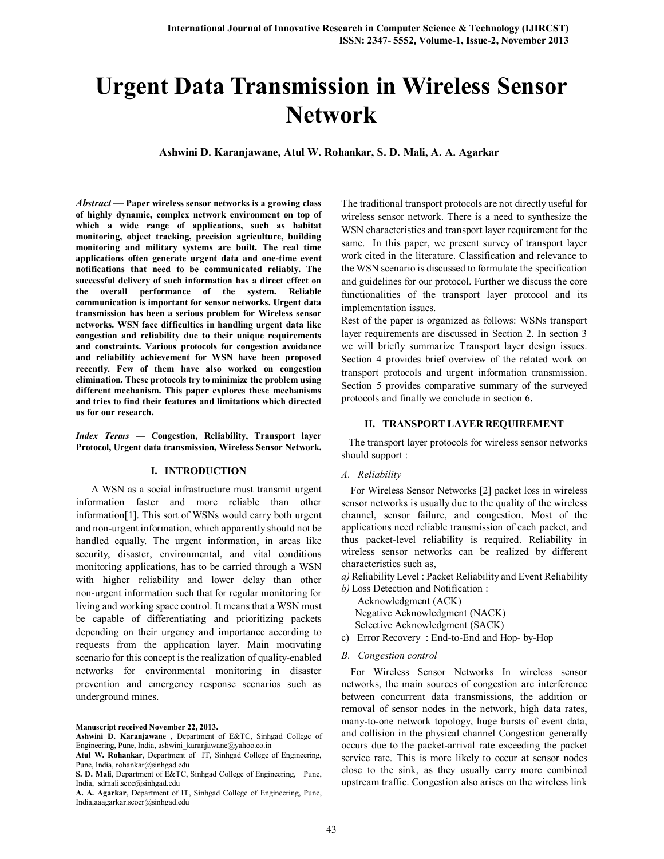# **Urgent Data Transmission in Wireless Sensor Network**

**Ashwini D. Karanjawane, Atul W. Rohankar, S. D. Mali, A. A. Agarkar**

*Abstract* **— Paper wireless sensor networks is a growing class of highly dynamic, complex network environment on top of which a wide range of applications, such as habitat monitoring, object tracking, precision agriculture, building monitoring and military systems are built. The real time applications often generate urgent data and one-time event notifications that need to be communicated reliably. The successful delivery of such information has a direct effect on the overall performance of the system. Reliable communication is important for sensor networks. Urgent data transmission has been a serious problem for Wireless sensor networks. WSN face difficulties in handling urgent data like congestion and reliability due to their unique requirements and constraints. Various protocols for congestion avoidance and reliability achievement for WSN have been proposed recently. Few of them have also worked on congestion elimination. These protocols try to minimize the problem using different mechanism. This paper explores these mechanisms and tries to find their features and limitations which directed us for our research.**

*Index Terms* **— Congestion, Reliability, Transport layer Protocol, Urgent data transmission, Wireless Sensor Network.** 

## **I. INTRODUCTION**

 A WSN as a social infrastructure must transmit urgent information faster and more reliable than other information[1]. This sort of WSNs would carry both urgent and non-urgent information, which apparently should not be handled equally. The urgent information, in areas like security, disaster, environmental, and vital conditions monitoring applications, has to be carried through a WSN with higher reliability and lower delay than other non-urgent information such that for regular monitoring for living and working space control. It means that a WSN must be capable of differentiating and prioritizing packets depending on their urgency and importance according to requests from the application layer. Main motivating scenario for this concept is the realization of quality-enabled networks for environmental monitoring in disaster prevention and emergency response scenarios such as underground mines.

**Manuscript received November 22, 2013.**

**A. A. Agarkar**, Department of IT, Sinhgad College of Engineering, Pune, India,aaagarkar.scoer@sinhgad.edu

The traditional transport protocols are not directly useful for wireless sensor network. There is a need to synthesize the WSN characteristics and transport layer requirement for the same. In this paper, we present survey of transport layer work cited in the literature. Classification and relevance to the WSN scenario is discussed to formulate the specification and guidelines for our protocol. Further we discuss the core functionalities of the transport layer protocol and its implementation issues.

Rest of the paper is organized as follows: WSNs transport layer requirements are discussed in Section 2. In section 3 we will briefly summarize Transport layer design issues. Section 4 provides brief overview of the related work on transport protocols and urgent information transmission. Section 5 provides comparative summary of the surveyed protocols and finally we conclude in section 6**.**

## **II. TRANSPORT LAYER REQUIREMENT**

The transport layer protocols for wireless sensor networks should support :

#### *A. Reliability*

For Wireless Sensor Networks [2] packet loss in wireless sensor networks is usually due to the quality of the wireless channel, sensor failure, and congestion. Most of the applications need reliable transmission of each packet, and thus packet-level reliability is required. Reliability in wireless sensor networks can be realized by different characteristics such as,

*a)* Reliability Level : Packet Reliability and Event Reliability

*b)* Loss Detection and Notification : Acknowledgment (ACK) Negative Acknowledgment (NACK) Selective Acknowledgment (SACK)

c) Error Recovery : End-to-End and Hop- by-Hop

#### *B. Congestion control*

For Wireless Sensor Networks In wireless sensor networks, the main sources of congestion are interference between concurrent data transmissions, the addition or removal of sensor nodes in the network, high data rates, many-to-one network topology, huge bursts of event data, and collision in the physical channel Congestion generally occurs due to the packet-arrival rate exceeding the packet service rate. This is more likely to occur at sensor nodes close to the sink, as they usually carry more combined upstream traffic. Congestion also arises on the wireless link

**Ashwini D. Karanjawane ,** Department of E&TC, Sinhgad College of Engineering, Pune, India, ashwini\_karanjawane@yahoo.co.in

**Atul W. Rohankar**, Department of IT, Sinhgad College of Engineering, Pune, India, rohankar@sinhgad.edu

**S. D. Mali**, Department of E&TC, Sinhgad College of Engineering, Pune, India, sdmali.scoe@sinhgad.edu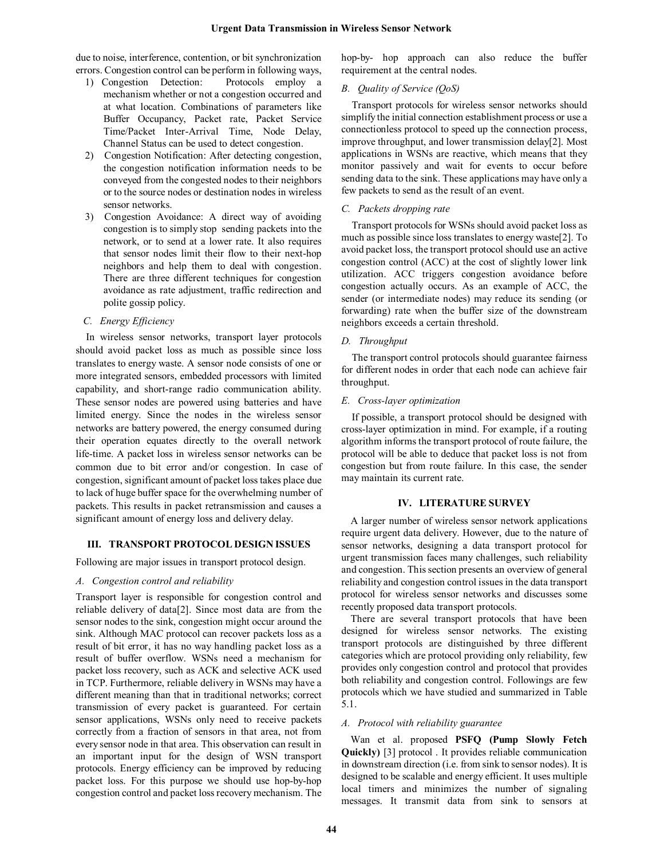due to noise, interference, contention, or bit synchronization errors. Congestion control can be perform in following ways,

- 1) Congestion Detection: Protocols employ a mechanism whether or not a congestion occurred and at what location. Combinations of parameters like Buffer Occupancy, Packet rate, Packet Service Time/Packet Inter-Arrival Time, Node Delay, Channel Status can be used to detect congestion.
- 2) Congestion Notification: After detecting congestion, the congestion notification information needs to be conveyed from the congested nodes to their neighbors or to the source nodes or destination nodes in wireless sensor networks.
- 3) Congestion Avoidance: A direct way of avoiding congestion is to simply stop sending packets into the network, or to send at a lower rate. It also requires that sensor nodes limit their flow to their next-hop neighbors and help them to deal with congestion. There are three different techniques for congestion avoidance as rate adjustment, traffic redirection and polite gossip policy.
- *C. Energy Efficiency*

In wireless sensor networks, transport layer protocols should avoid packet loss as much as possible since loss translates to energy waste. A sensor node consists of one or more integrated sensors, embedded processors with limited capability, and short-range radio communication ability. These sensor nodes are powered using batteries and have limited energy. Since the nodes in the wireless sensor networks are battery powered, the energy consumed during their operation equates directly to the overall network life-time. A packet loss in wireless sensor networks can be common due to bit error and/or congestion. In case of congestion, significant amount of packet loss takes place due to lack of huge buffer space for the overwhelming number of packets. This results in packet retransmission and causes a significant amount of energy loss and delivery delay.

#### **III. TRANSPORT PROTOCOL DESIGN ISSUES**

Following are major issues in transport protocol design.

#### *A. Congestion control and reliability*

Transport layer is responsible for congestion control and reliable delivery of data[2]. Since most data are from the sensor nodes to the sink, congestion might occur around the sink. Although MAC protocol can recover packets loss as a result of bit error, it has no way handling packet loss as a result of buffer overflow. WSNs need a mechanism for packet loss recovery, such as ACK and selective ACK used in TCP. Furthermore, reliable delivery in WSNs may have a different meaning than that in traditional networks; correct transmission of every packet is guaranteed. For certain sensor applications, WSNs only need to receive packets correctly from a fraction of sensors in that area, not from every sensor node in that area. This observation can result in an important input for the design of WSN transport protocols. Energy efficiency can be improved by reducing packet loss. For this purpose we should use hop-by-hop congestion control and packet lossrecovery mechanism. The hop-by- hop approach can also reduce the buffer requirement at the central nodes.

### *B. Quality of Service (QoS)*

Transport protocols for wireless sensor networks should simplify the initial connection establishment process or use a connectionless protocol to speed up the connection process, improve throughput, and lower transmission delay[2]. Most applications in WSNs are reactive, which means that they monitor passively and wait for events to occur before sending data to the sink. These applications may have only a few packets to send as the result of an event.

## *C. Packets dropping rate*

Transport protocols for WSNs should avoid packet loss as much as possible since loss translates to energy waste[2]. To avoid packet loss, the transport protocol should use an active congestion control (ACC) at the cost of slightly lower link utilization. ACC triggers congestion avoidance before congestion actually occurs. As an example of ACC, the sender (or intermediate nodes) may reduce its sending (or forwarding) rate when the buffer size of the downstream neighbors exceeds a certain threshold.

### *D. Throughput*

The transport control protocols should guarantee fairness for different nodes in order that each node can achieve fair throughput.

#### *E. Cross-layer optimization*

If possible, a transport protocol should be designed with cross-layer optimization in mind. For example, if a routing algorithm informs the transport protocol of route failure, the protocol will be able to deduce that packet loss is not from congestion but from route failure. In this case, the sender may maintain its current rate.

### **IV. LITERATURE SURVEY**

A larger number of wireless sensor network applications require urgent data delivery. However, due to the nature of sensor networks, designing a data transport protocol for urgent transmission faces many challenges, such reliability and congestion. This section presents an overview of general reliability and congestion control issues in the data transport protocol for wireless sensor networks and discusses some recently proposed data transport protocols.

There are several transport protocols that have been designed for wireless sensor networks. The existing transport protocols are distinguished by three different categories which are protocol providing only reliability, few provides only congestion control and protocol that provides both reliability and congestion control. Followings are few protocols which we have studied and summarized in Table 5.1.

#### *A. Protocol with reliability guarantee*

Wan et al. proposed **PSFQ (Pump Slowly Fetch Quickly)** [3] protocol . It provides reliable communication in downstream direction (i.e. from sink to sensor nodes). It is designed to be scalable and energy efficient. It uses multiple local timers and minimizes the number of signaling messages. It transmit data from sink to sensors at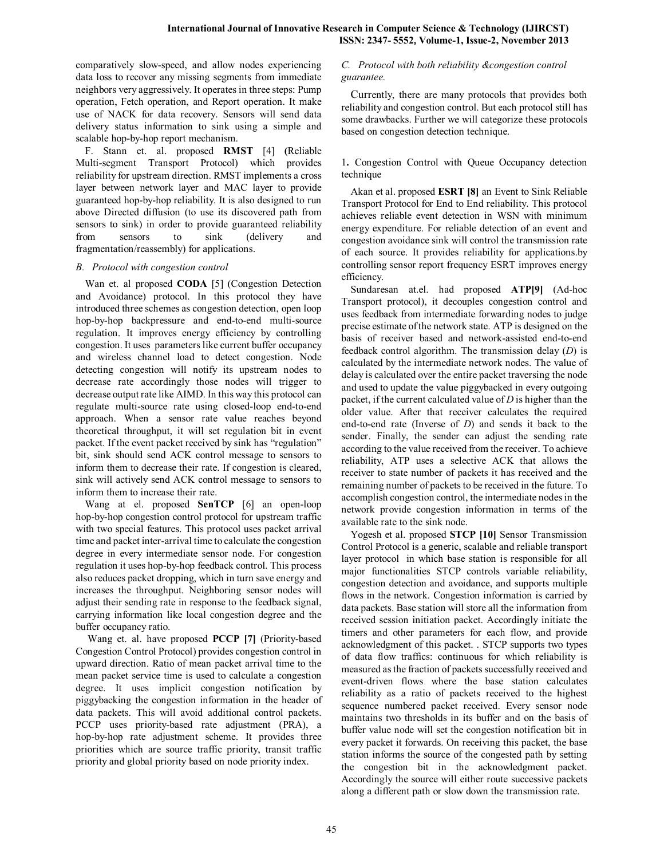comparatively slow-speed, and allow nodes experiencing data loss to recover any missing segments from immediate neighbors very aggressively. It operates in three steps: Pump operation, Fetch operation, and Report operation. It make use of NACK for data recovery. Sensors will send data delivery status information to sink using a simple and scalable hop-by-hop report mechanism.

F. Stann et. al. proposed **RMST** [4] **(**Reliable Multi-segment Transport Protocol) which provides reliability for upstream direction. RMST implements a cross layer between network layer and MAC layer to provide guaranteed hop-by-hop reliability. It is also designed to run above Directed diffusion (to use its discovered path from sensors to sink) in order to provide guaranteed reliability from sensors to sink (delivery and fragmentation/reassembly) for applications.

## *B. Protocol with congestion control*

Wan et. al proposed **CODA** [5] (Congestion Detection and Avoidance) protocol. In this protocol they have introduced three schemes as congestion detection, open loop hop-by-hop backpressure and end-to-end multi-source regulation. It improves energy efficiency by controlling congestion. It uses parameters like current buffer occupancy and wireless channel load to detect congestion. Node detecting congestion will notify its upstream nodes to decrease rate accordingly those nodes will trigger to decrease output rate like AIMD. In this way this protocol can regulate multi-source rate using closed-loop end-to-end approach. When a sensor rate value reaches beyond theoretical throughput, it will set regulation bit in event packet. If the event packet received by sink has "regulation" bit, sink should send ACK control message to sensors to inform them to decrease their rate. If congestion is cleared, sink will actively send ACK control message to sensors to inform them to increase their rate.

Wang at el. proposed **SenTCP** [6] an open-loop hop-by-hop congestion control protocol for upstream traffic with two special features. This protocol uses packet arrival time and packet inter-arrival time to calculate the congestion degree in every intermediate sensor node. For congestion regulation it uses hop-by-hop feedback control. This process also reduces packet dropping, which in turn save energy and increases the throughput. Neighboring sensor nodes will adjust their sending rate in response to the feedback signal, carrying information like local congestion degree and the buffer occupancy ratio.

Wang et. al. have proposed **PCCP [7]** (Priority-based Congestion Control Protocol) provides congestion control in upward direction. Ratio of mean packet arrival time to the mean packet service time is used to calculate a congestion degree. It uses implicit congestion notification by piggybacking the congestion information in the header of data packets. This will avoid additional control packets. PCCP uses priority-based rate adjustment (PRA), a hop-by-hop rate adjustment scheme. It provides three priorities which are source traffic priority, transit traffic priority and global priority based on node priority index.

## *C. Protocol with both reliability &congestion control guarantee.*

Currently, there are many protocols that provides both reliability and congestion control. But each protocol still has some drawbacks. Further we will categorize these protocols based on congestion detection technique.

1**.** Congestion Control with Queue Occupancy detection technique

Akan et al. proposed **ESRT [8]** an Event to Sink Reliable Transport Protocol for End to End reliability. This protocol achieves reliable event detection in WSN with minimum energy expenditure. For reliable detection of an event and congestion avoidance sink will control the transmission rate of each source. It provides reliability for applications.by controlling sensor report frequency ESRT improves energy efficiency.

Sundaresan at.el. had proposed **ATP[9]** (Ad-hoc Transport protocol), it decouples congestion control and uses feedback from intermediate forwarding nodes to judge precise estimate of the network state. ATP is designed on the basis of receiver based and network-assisted end-to-end feedback control algorithm. The transmission delay (*D*) is calculated by the intermediate network nodes. The value of delay is calculated over the entire packet traversing the node and used to update the value piggybacked in every outgoing packet, if the current calculated value of *D* is higher than the older value. After that receiver calculates the required end-to-end rate (Inverse of *D*) and sends it back to the sender. Finally, the sender can adjust the sending rate according to the value received from the receiver. To achieve reliability, ATP uses a selective ACK that allows the receiver to state number of packets it has received and the remaining number of packets to be received in the future. To accomplish congestion control, the intermediate nodes in the network provide congestion information in terms of the available rate to the sink node.

Yogesh et al. proposed **STCP [10]** Sensor Transmission Control Protocol is a generic, scalable and reliable transport layer protocol in which base station is responsible for all major functionalities STCP controls variable reliability, congestion detection and avoidance, and supports multiple flows in the network. Congestion information is carried by data packets. Base station will store all the information from received session initiation packet. Accordingly initiate the timers and other parameters for each flow, and provide acknowledgment of this packet. . STCP supports two types of data flow traffics: continuous for which reliability is measured as the fraction of packets successfully received and event-driven flows where the base station calculates reliability as a ratio of packets received to the highest sequence numbered packet received. Every sensor node maintains two thresholds in its buffer and on the basis of buffer value node will set the congestion notification bit in every packet it forwards. On receiving this packet, the base station informs the source of the congested path by setting the congestion bit in the acknowledgment packet. Accordingly the source will either route successive packets along a different path or slow down the transmission rate.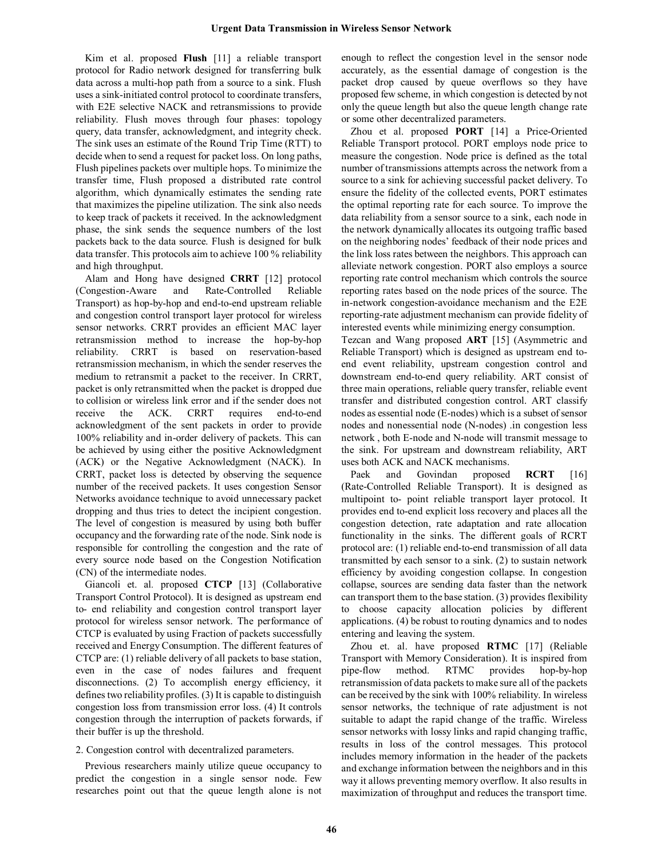Kim et al. proposed **Flush** [11] a reliable transport protocol for Radio network designed for transferring bulk data across a multi-hop path from a source to a sink. Flush uses a sink-initiated control protocol to coordinate transfers, with E2E selective NACK and retransmissions to provide reliability. Flush moves through four phases: topology query, data transfer, acknowledgment, and integrity check. The sink uses an estimate of the Round Trip Time (RTT) to decide when to send a request for packet loss. On long paths, Flush pipelines packets over multiple hops. To minimize the transfer time, Flush proposed a distributed rate control algorithm, which dynamically estimates the sending rate that maximizes the pipeline utilization. The sink also needs to keep track of packets it received. In the acknowledgment phase, the sink sends the sequence numbers of the lost packets back to the data source. Flush is designed for bulk data transfer. This protocols aim to achieve 100 % reliability and high throughput.

Alam and Hong have designed **CRRT** [12] protocol (Congestion-Aware and Rate-Controlled Reliable Transport) as hop-by-hop and end-to-end upstream reliable and congestion control transport layer protocol for wireless sensor networks. CRRT provides an efficient MAC layer retransmission method to increase the hop-by-hop reliability. CRRT is based on reservation-based retransmission mechanism, in which the sender reserves the medium to retransmit a packet to the receiver. In CRRT, packet is only retransmitted when the packet is dropped due to collision or wireless link error and if the sender does not receive the ACK. CRRT requires end-to-end acknowledgment of the sent packets in order to provide 100% reliability and in-order delivery of packets. This can be achieved by using either the positive Acknowledgment (ACK) or the Negative Acknowledgment (NACK). In CRRT, packet loss is detected by observing the sequence number of the received packets. It uses congestion Sensor Networks avoidance technique to avoid unnecessary packet dropping and thus tries to detect the incipient congestion. The level of congestion is measured by using both buffer occupancy and the forwarding rate of the node. Sink node is responsible for controlling the congestion and the rate of every source node based on the Congestion Notification (CN) of the intermediate nodes.

Giancoli et. al*.* proposed **CTCP** [13] (Collaborative Transport Control Protocol). It is designed as upstream end to- end reliability and congestion control transport layer protocol for wireless sensor network. The performance of CTCP is evaluated by using Fraction of packets successfully received and Energy Consumption. The different features of CTCP are: (1) reliable delivery of all packets to base station, even in the case of nodes failures and frequent disconnections. (2) To accomplish energy efficiency, it defines two reliability profiles. (3) It is capable to distinguish congestion loss from transmission error loss. (4) It controls congestion through the interruption of packets forwards, if their buffer is up the threshold.

#### 2. Congestion control with decentralized parameters.

Previous researchers mainly utilize queue occupancy to predict the congestion in a single sensor node. Few researches point out that the queue length alone is not enough to reflect the congestion level in the sensor node accurately, as the essential damage of congestion is the packet drop caused by queue overflows so they have proposed few scheme, in which congestion is detected by not only the queue length but also the queue length change rate or some other decentralized parameters.

Zhou et al. proposed **PORT** [14] a Price-Oriented Reliable Transport protocol. PORT employs node price to measure the congestion. Node price is defined as the total number of transmissions attempts across the network from a source to a sink for achieving successful packet delivery. To ensure the fidelity of the collected events, PORT estimates the optimal reporting rate for each source. To improve the data reliability from a sensor source to a sink, each node in the network dynamically allocates its outgoing traffic based on the neighboring nodes' feedback of their node prices and the link loss rates between the neighbors. This approach can alleviate network congestion. PORT also employs a source reporting rate control mechanism which controls the source reporting rates based on the node prices of the source. The in-network congestion-avoidance mechanism and the E2E reporting-rate adjustment mechanism can provide fidelity of interested events while minimizing energy consumption.

Tezcan and Wang proposed **ART** [15] (Asymmetric and Reliable Transport) which is designed as upstream end toend event reliability, upstream congestion control and downstream end-to-end query reliability. ART consist of three main operations, reliable query transfer, reliable event transfer and distributed congestion control. ART classify nodes as essential node (E-nodes) which is a subset of sensor nodes and nonessential node (N-nodes) .in congestion less network , both E-node and N-node will transmit message to the sink. For upstream and downstream reliability, ART uses both ACK and NACK mechanisms.

Paek and Govindan proposed **RCRT** [16] (Rate-Controlled Reliable Transport). It is designed as multipoint to- point reliable transport layer protocol. It provides end to-end explicit loss recovery and places all the congestion detection, rate adaptation and rate allocation functionality in the sinks. The different goals of RCRT protocol are: (1) reliable end-to-end transmission of all data transmitted by each sensor to a sink. (2) to sustain network efficiency by avoiding congestion collapse. In congestion collapse, sources are sending data faster than the network can transport them to the base station. (3) provides flexibility to choose capacity allocation policies by different applications. (4) be robust to routing dynamics and to nodes entering and leaving the system.

Zhou et. al. have proposed **RTMC** [17] (Reliable Transport with Memory Consideration). It is inspired from pipe-flow method. RTMC provides hop-by-hop retransmission of data packets to make sure all of the packets can be received by the sink with 100% reliability. In wireless sensor networks, the technique of rate adjustment is not suitable to adapt the rapid change of the traffic. Wireless sensor networks with lossy links and rapid changing traffic, results in loss of the control messages. This protocol includes memory information in the header of the packets and exchange information between the neighbors and in this way it allows preventing memory overflow. It also results in maximization of throughput and reduces the transport time.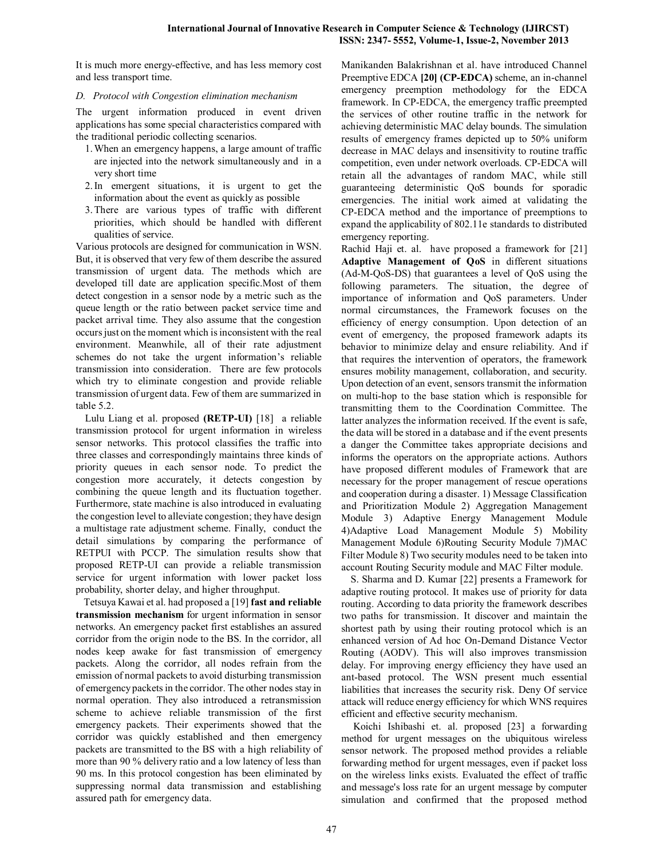It is much more energy-effective, and has less memory cost and less transport time.

## *D. Protocol with Congestion elimination mechanism*

The urgent information produced in event driven applications has some special characteristics compared with the traditional periodic collecting scenarios.

- 1.When an emergency happens, a large amount of traffic are injected into the network simultaneously and in a very short time
- 2.In emergent situations, it is urgent to get the information about the event as quickly as possible
- 3.There are various types of traffic with different priorities, which should be handled with different qualities of service.

Various protocols are designed for communication in WSN. But, it is observed that very few of them describe the assured transmission of urgent data. The methods which are developed till date are application specific.Most of them detect congestion in a sensor node by a metric such as the queue length or the ratio between packet service time and packet arrival time. They also assume that the congestion occurs just on the moment which is inconsistent with the real environment. Meanwhile, all of their rate adjustment schemes do not take the urgent information's reliable transmission into consideration. There are few protocols which try to eliminate congestion and provide reliable transmission of urgent data. Few of them are summarized in table 5.2.

Lulu Liang et al. proposed **(RETP-UI)** [18] a reliable transmission protocol for urgent information in wireless sensor networks. This protocol classifies the traffic into three classes and correspondingly maintains three kinds of priority queues in each sensor node. To predict the congestion more accurately, it detects congestion by combining the queue length and its fluctuation together. Furthermore, state machine is also introduced in evaluating the congestion level to alleviate congestion; they have design a multistage rate adjustment scheme. Finally, conduct the detail simulations by comparing the performance of RETPUI with PCCP. The simulation results show that proposed RETP-UI can provide a reliable transmission service for urgent information with lower packet loss probability, shorter delay, and higher throughput.

 Tetsuya Kawai et al. had proposed a [19] **fast and reliable transmission mechanism** for urgent information in sensor networks. An emergency packet first establishes an assured corridor from the origin node to the BS. In the corridor, all nodes keep awake for fast transmission of emergency packets. Along the corridor, all nodes refrain from the emission of normal packets to avoid disturbing transmission of emergency packets in the corridor. The other nodes stay in normal operation. They also introduced a retransmission scheme to achieve reliable transmission of the first emergency packets. Their experiments showed that the corridor was quickly established and then emergency packets are transmitted to the BS with a high reliability of more than 90 % delivery ratio and a low latency of less than 90 ms. In this protocol congestion has been eliminated by suppressing normal data transmission and establishing assured path for emergency data.

Manikanden Balakrishnan et al. have introduced Channel Preemptive EDCA **[20] (CP-EDCA)** scheme, an in-channel emergency preemption methodology for the EDCA framework. In CP-EDCA, the emergency traffic preempted the services of other routine traffic in the network for achieving deterministic MAC delay bounds. The simulation results of emergency frames depicted up to 50% uniform decrease in MAC delays and insensitivity to routine traffic competition, even under network overloads. CP-EDCA will retain all the advantages of random MAC, while still guaranteeing deterministic QoS bounds for sporadic emergencies. The initial work aimed at validating the CP-EDCA method and the importance of preemptions to expand the applicability of 802.11e standards to distributed emergency reporting.

Rachid Haji et. al. have proposed a framework for [21] **Adaptive Management of QoS** in different situations (Ad-M-QoS-DS) that guarantees a level of QoS using the following parameters. The situation, the degree of importance of information and QoS parameters. Under normal circumstances, the Framework focuses on the efficiency of energy consumption. Upon detection of an event of emergency, the proposed framework adapts its behavior to minimize delay and ensure reliability. And if that requires the intervention of operators, the framework ensures mobility management, collaboration, and security. Upon detection of an event, sensors transmit the information on multi-hop to the base station which is responsible for transmitting them to the Coordination Committee. The latter analyzes the information received. If the event is safe, the data will be stored in a database and if the event presents a danger the Committee takes appropriate decisions and informs the operators on the appropriate actions. Authors have proposed different modules of Framework that are necessary for the proper management of rescue operations and cooperation during a disaster. 1) Message Classification and Prioritization Module 2) Aggregation Management Module 3) Adaptive Energy Management Module 4)Adaptive Load Management Module 5) Mobility Management Module 6)Routing Security Module 7)MAC Filter Module 8) Two security modules need to be taken into account Routing Security module and MAC Filter module.

S. Sharma and D. Kumar [22] presents a Framework for adaptive routing protocol. It makes use of priority for data routing. According to data priority the framework describes two paths for transmission. It discover and maintain the shortest path by using their routing protocol which is an enhanced version of Ad hoc On-Demand Distance Vector Routing (AODV). This will also improves transmission delay. For improving energy efficiency they have used an ant-based protocol. The WSN present much essential liabilities that increases the security risk. Deny Of service attack will reduce energy efficiency for which WNS requires efficient and effective security mechanism.

Koichi Ishibashi et. al. proposed [23] a forwarding method for urgent messages on the ubiquitous wireless sensor network. The proposed method provides a reliable forwarding method for urgent messages, even if packet loss on the wireless links exists. Evaluated the effect of traffic and message's loss rate for an urgent message by computer simulation and confirmed that the proposed method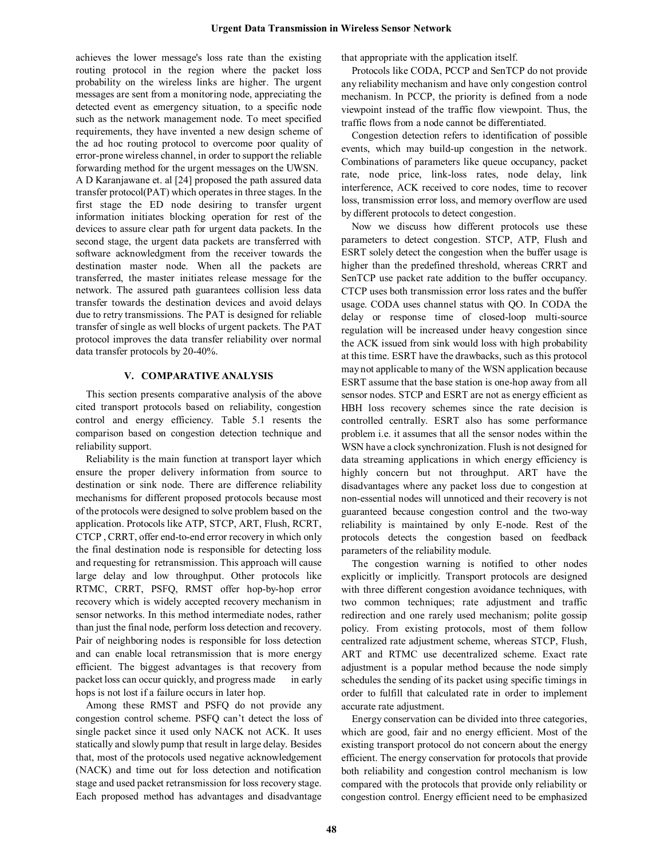achieves the lower message's loss rate than the existing routing protocol in the region where the packet loss probability on the wireless links are higher. The urgent messages are sent from a monitoring node, appreciating the detected event as emergency situation, to a specific node such as the network management node. To meet specified requirements, they have invented a new design scheme of the ad hoc routing protocol to overcome poor quality of error-prone wireless channel, in order to support the reliable forwarding method for the urgent messages on the UWSN. A D Karanjawane et. al [24] proposed the path assured data transfer protocol(PAT) which operates in three stages. In the first stage the ED node desiring to transfer urgent information initiates blocking operation for rest of the devices to assure clear path for urgent data packets. In the second stage, the urgent data packets are transferred with software acknowledgment from the receiver towards the destination master node. When all the packets are transferred, the master initiates release message for the network. The assured path guarantees collision less data transfer towards the destination devices and avoid delays due to retry transmissions. The PAT is designed for reliable transfer of single as well blocks of urgent packets. The PAT protocol improves the data transfer reliability over normal data transfer protocols by 20-40%.

## **V. COMPARATIVE ANALYSIS**

This section presents comparative analysis of the above cited transport protocols based on reliability, congestion control and energy efficiency. Table 5.1 resents the comparison based on congestion detection technique and reliability support.

Reliability is the main function at transport layer which ensure the proper delivery information from source to destination or sink node. There are difference reliability mechanisms for different proposed protocols because most of the protocols were designed to solve problem based on the application. Protocols like ATP, STCP, ART, Flush, RCRT, CTCP , CRRT, offer end-to-end error recovery in which only the final destination node is responsible for detecting loss and requesting for retransmission. This approach will cause large delay and low throughput. Other protocols like RTMC, CRRT, PSFQ, RMST offer hop-by-hop error recovery which is widely accepted recovery mechanism in sensor networks. In this method intermediate nodes, rather than just the final node, perform loss detection and recovery. Pair of neighboring nodes is responsible for loss detection and can enable local retransmission that is more energy efficient. The biggest advantages is that recovery from packet loss can occur quickly, and progress made in early hops is not lost if a failure occurs in later hop.

Among these RMST and PSFQ do not provide any congestion control scheme. PSFQ can't detect the loss of single packet since it used only NACK not ACK. It uses statically and slowly pump that result in large delay. Besides that, most of the protocols used negative acknowledgement (NACK) and time out for loss detection and notification stage and used packet retransmission for loss recovery stage. Each proposed method has advantages and disadvantage that appropriate with the application itself.

Protocols like CODA, PCCP and SenTCP do not provide any reliability mechanism and have only congestion control mechanism. In PCCP, the priority is defined from a node viewpoint instead of the traffic flow viewpoint. Thus, the traffic flows from a node cannot be differentiated.

Congestion detection refers to identification of possible events, which may build-up congestion in the network. Combinations of parameters like queue occupancy, packet rate, node price, link-loss rates, node delay, link interference, ACK received to core nodes, time to recover loss, transmission error loss, and memory overflow are used by different protocols to detect congestion.

Now we discuss how different protocols use these parameters to detect congestion. STCP, ATP, Flush and ESRT solely detect the congestion when the buffer usage is higher than the predefined threshold, whereas CRRT and SenTCP use packet rate addition to the buffer occupancy. CTCP uses both transmission error loss rates and the buffer usage. CODA uses channel status with QO. In CODA the delay or response time of closed-loop multi-source regulation will be increased under heavy congestion since the ACK issued from sink would loss with high probability at this time. ESRT have the drawbacks, such as this protocol may not applicable to many of the WSN application because ESRT assume that the base station is one-hop away from all sensor nodes. STCP and ESRT are not as energy efficient as HBH loss recovery schemes since the rate decision is controlled centrally. ESRT also has some performance problem i.e. it assumes that all the sensor nodes within the WSN have a clock synchronization. Flush is not designed for data streaming applications in which energy efficiency is highly concern but not throughput. ART have the disadvantages where any packet loss due to congestion at non-essential nodes will unnoticed and their recovery is not guaranteed because congestion control and the two-way reliability is maintained by only E-node. Rest of the protocols detects the congestion based on feedback parameters of the reliability module.

The congestion warning is notified to other nodes explicitly or implicitly. Transport protocols are designed with three different congestion avoidance techniques, with two common techniques; rate adjustment and traffic redirection and one rarely used mechanism; polite gossip policy. From existing protocols, most of them follow centralized rate adjustment scheme, whereas STCP, Flush, ART and RTMC use decentralized scheme. Exact rate adjustment is a popular method because the node simply schedules the sending of its packet using specific timings in order to fulfill that calculated rate in order to implement accurate rate adjustment.

Energy conservation can be divided into three categories, which are good, fair and no energy efficient. Most of the existing transport protocol do not concern about the energy efficient. The energy conservation for protocols that provide both reliability and congestion control mechanism is low compared with the protocols that provide only reliability or congestion control. Energy efficient need to be emphasized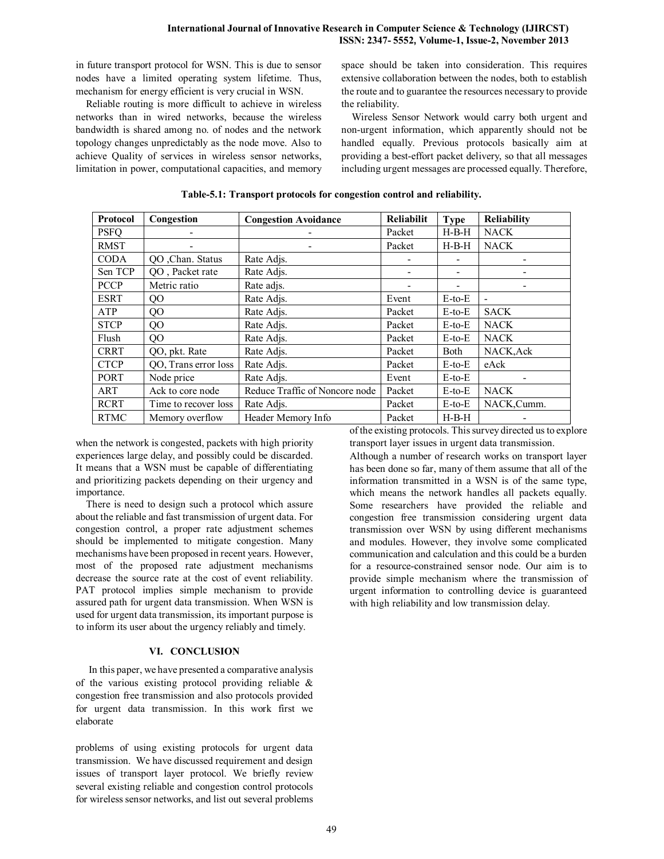in future transport protocol for WSN. This is due to sensor nodes have a limited operating system lifetime. Thus, mechanism for energy efficient is very crucial in WSN.

Reliable routing is more difficult to achieve in wireless networks than in wired networks, because the wireless bandwidth is shared among no. of nodes and the network topology changes unpredictably as the node move. Also to achieve Quality of services in wireless sensor networks, limitation in power, computational capacities, and memory space should be taken into consideration. This requires extensive collaboration between the nodes, both to establish the route and to guarantee the resources necessary to provide the reliability.

Wireless Sensor Network would carry both urgent and non-urgent information, which apparently should not be handled equally. Previous protocols basically aim at providing a best-effort packet delivery, so that all messages including urgent messages are processed equally. Therefore,

| <b>Protocol</b> | Congestion           | <b>Congestion Avoidance</b>    | <b>Reliabilit</b> | Type         | <b>Reliability</b>           |
|-----------------|----------------------|--------------------------------|-------------------|--------------|------------------------------|
| <b>PSFQ</b>     |                      |                                | Packet            | $H-B-H$      | <b>NACK</b>                  |
| <b>RMST</b>     |                      |                                | Packet            | $H-B-H$      | <b>NACK</b>                  |
| <b>CODA</b>     | QO ,Chan. Status     | Rate Adis.                     |                   |              |                              |
| Sen TCP         | QO, Packet rate      | Rate Adis.                     |                   | -            |                              |
| <b>PCCP</b>     | Metric ratio         | Rate adjs.                     |                   |              |                              |
| <b>ESRT</b>     | QO                   | Rate Adis.                     | Event             | $E$ -to- $E$ | $\qquad \qquad \blacksquare$ |
| ATP             | QO                   | Rate Adis.                     | Packet            | $E$ -to- $E$ | <b>SACK</b>                  |
| <b>STCP</b>     | QO                   | Rate Adis.                     | Packet            | $E$ -to- $E$ | <b>NACK</b>                  |
| Flush           | QO                   | Rate Adjs.                     | Packet            | $E$ -to- $E$ | <b>NACK</b>                  |
| <b>CRRT</b>     | QO, pkt. Rate        | Rate Adis.                     | Packet            | Both         | NACK, Ack                    |
| <b>CTCP</b>     | QO, Trans error loss | Rate Adjs.                     | Packet            | $E$ -to- $E$ | eAck                         |
| <b>PORT</b>     | Node price           | Rate Adis.                     | Event             | $E$ -to- $E$ |                              |
| ART             | Ack to core node     | Reduce Traffic of Noncore node | Packet            | $E$ -to- $E$ | <b>NACK</b>                  |
| <b>RCRT</b>     | Time to recover loss | Rate Adis.                     | Packet            | $E$ -to- $E$ | NACK,Cumm.                   |
| <b>RTMC</b>     | Memory overflow      | Header Memory Info             | Packet            | $H-B-H$      |                              |

**Table-5.1: Transport protocols for congestion control and reliability.**

when the network is congested, packets with high priority experiences large delay, and possibly could be discarded. It means that a WSN must be capable of differentiating and prioritizing packets depending on their urgency and importance.

There is need to design such a protocol which assure about the reliable and fast transmission of urgent data. For congestion control, a proper rate adjustment schemes should be implemented to mitigate congestion. Many mechanisms have been proposed in recent years. However, most of the proposed rate adjustment mechanisms decrease the source rate at the cost of event reliability. PAT protocol implies simple mechanism to provide assured path for urgent data transmission. When WSN is used for urgent data transmission, its important purpose is to inform its user about the urgency reliably and timely.

## **VI. CONCLUSION**

In this paper, we have presented a comparative analysis of the various existing protocol providing reliable & congestion free transmission and also protocols provided for urgent data transmission. In this work first we elaborate

problems of using existing protocols for urgent data transmission. We have discussed requirement and design issues of transport layer protocol. We briefly review several existing reliable and congestion control protocols for wireless sensor networks, and list out several problems of the existing protocols. This survey directed us to explore transport layer issues in urgent data transmission.

Although a number of research works on transport layer has been done so far, many of them assume that all of the information transmitted in a WSN is of the same type, which means the network handles all packets equally. Some researchers have provided the reliable and congestion free transmission considering urgent data transmission over WSN by using different mechanisms and modules. However, they involve some complicated communication and calculation and this could be a burden for a resource-constrained sensor node. Our aim is to provide simple mechanism where the transmission of urgent information to controlling device is guaranteed with high reliability and low transmission delay.